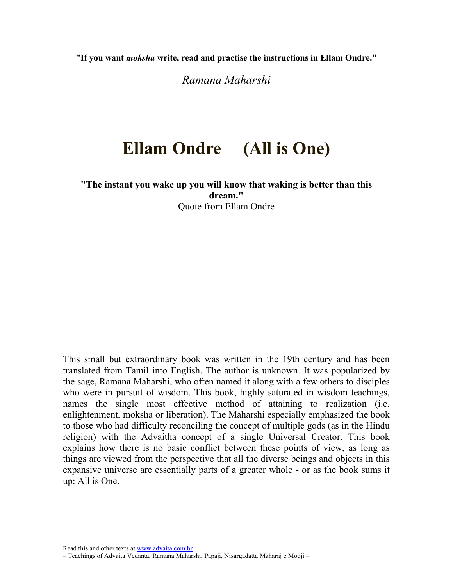"If you want moksha write, read and practise the instructions in Ellam Ondre."

Ramana Maharshi

### Ellam Ondre (All is One)

"The instant you wake up you will know that waking is better than this dream." Quote from Ellam Ondre

This small but extraordinary book was written in the 19th century and has been translated from Tamil into English. The author is unknown. It was popularized by the sage, Ramana Maharshi, who often named it along with a few others to disciples who were in pursuit of wisdom. This book, highly saturated in wisdom teachings, names the single most effective method of attaining to realization (i.e. enlightenment, moksha or liberation). The Maharshi especially emphasized the book to those who had difficulty reconciling the concept of multiple gods (as in the Hindu religion) with the Advaitha concept of a single Universal Creator. This book explains how there is no basic conflict between these points of view, as long as things are viewed from the perspective that all the diverse beings and objects in this expansive universe are essentially parts of a greater whole - or as the book sums it up: All is One.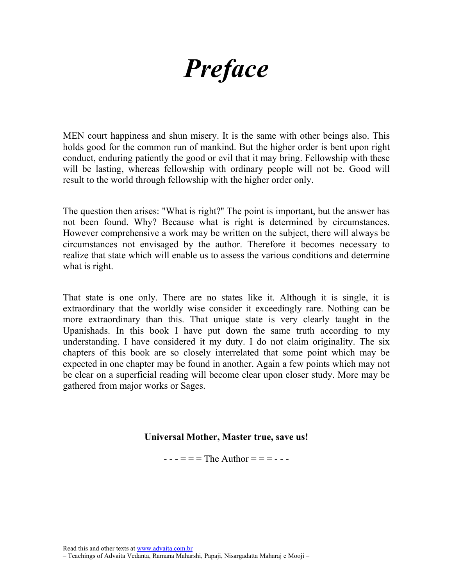## **Preface**

MEN court happiness and shun misery. It is the same with other beings also. This holds good for the common run of mankind. But the higher order is bent upon right conduct, enduring patiently the good or evil that it may bring. Fellowship with these will be lasting, whereas fellowship with ordinary people will not be. Good will result to the world through fellowship with the higher order only.

The question then arises: "What is right?'' The point is important, but the answer has not been found. Why? Because what is right is determined by circumstances. However comprehensive a work may be written on the subject, there will always be circumstances not envisaged by the author. Therefore it becomes necessary to realize that state which will enable us to assess the various conditions and determine what is right.

That state is one only. There are no states like it. Although it is single, it is extraordinary that the worldly wise consider it exceedingly rare. Nothing can be more extraordinary than this. That unique state is very clearly taught in the Upanishads. In this book I have put down the same truth according to my understanding. I have considered it my duty. I do not claim originality. The six chapters of this book are so closely interrelated that some point which may be expected in one chapter may be found in another. Again a few points which may not be clear on a superficial reading will become clear upon closer study. More may be gathered from major works or Sages.

#### Universal Mother, Master true, save us!

 $--- = =$  The Author = = =  $---$ 

<sup>–</sup> Teachings of Advaita Vedanta, Ramana Maharshi, Papaji, Nisargadatta Maharaj e Mooji –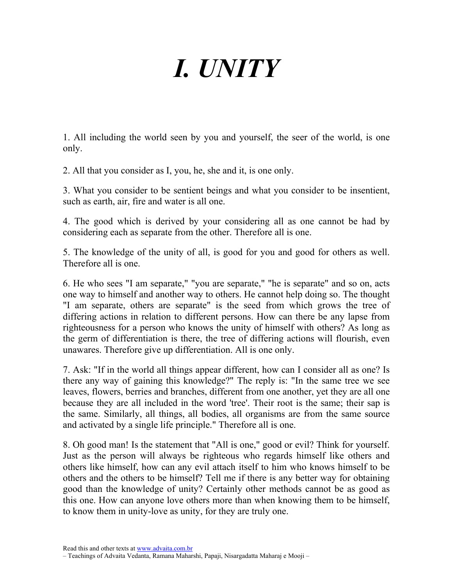# I. UNITY

1. All including the world seen by you and yourself, the seer of the world, is one only.

2. All that you consider as I, you, he, she and it, is one only.

3. What you consider to be sentient beings and what you consider to be insentient, such as earth, air, fire and water is all one.

4. The good which is derived by your considering all as one cannot be had by considering each as separate from the other. Therefore all is one.

5. The knowledge of the unity of all, is good for you and good for others as well. Therefore all is one.

6. He who sees "I am separate," "you are separate," "he is separate" and so on, acts one way to himself and another way to others. He cannot help doing so. The thought "I am separate, others are separate" is the seed from which grows the tree of differing actions in relation to different persons. How can there be any lapse from righteousness for a person who knows the unity of himself with others? As long as the germ of differentiation is there, the tree of differing actions will flourish, even unawares. Therefore give up differentiation. All is one only.

7. Ask: "If in the world all things appear different, how can I consider all as one? Is there any way of gaining this knowledge?" The reply is: "In the same tree we see leaves, flowers, berries and branches, different from one another, yet they are all one because they are all included in the word 'tree'. Their root is the same; their sap is the same. Similarly, all things, all bodies, all organisms are from the same source and activated by a single life principle." Therefore all is one.

8. Oh good man! Is the statement that "All is one," good or evil? Think for yourself. Just as the person will always be righteous who regards himself like others and others like himself, how can any evil attach itself to him who knows himself to be others and the others to be himself? Tell me if there is any better way for obtaining good than the knowledge of unity? Certainly other methods cannot be as good as this one. How can anyone love others more than when knowing them to be himself, to know them in unity-love as unity, for they are truly one.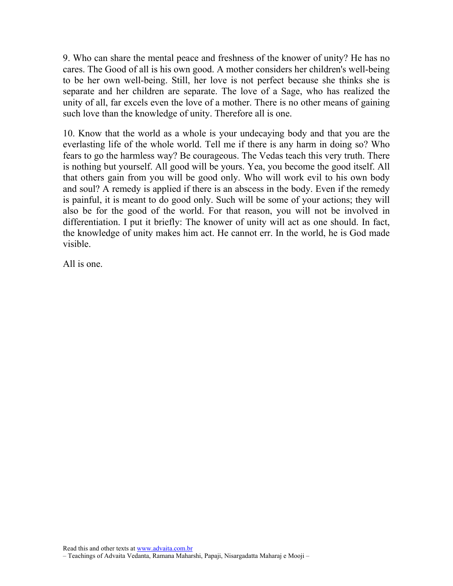9. Who can share the mental peace and freshness of the knower of unity? He has no cares. The Good of all is his own good. A mother considers her children's well-being to be her own well-being. Still, her love is not perfect because she thinks she is separate and her children are separate. The love of a Sage, who has realized the unity of all, far excels even the love of a mother. There is no other means of gaining such love than the knowledge of unity. Therefore all is one.

10. Know that the world as a whole is your undecaying body and that you are the everlasting life of the whole world. Tell me if there is any harm in doing so? Who fears to go the harmless way? Be courageous. The Vedas teach this very truth. There is nothing but yourself. All good will be yours. Yea, you become the good itself. All that others gain from you will be good only. Who will work evil to his own body and soul? A remedy is applied if there is an abscess in the body. Even if the remedy is painful, it is meant to do good only. Such will be some of your actions; they will also be for the good of the world. For that reason, you will not be involved in differentiation. I put it briefly: The knower of unity will act as one should. In fact, the knowledge of unity makes him act. He cannot err. In the world, he is God made visible.

All is one.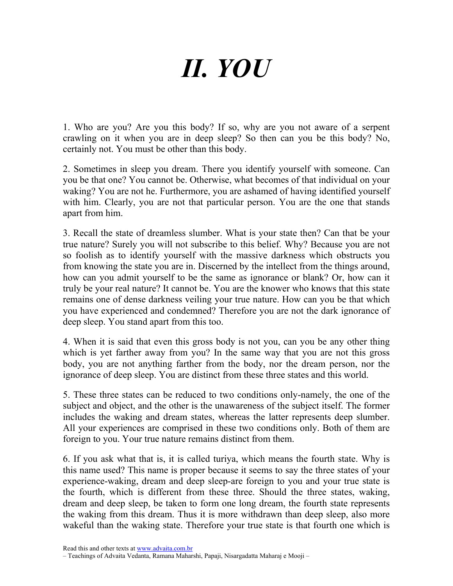# II. YOU

1. Who are you? Are you this body? If so, why are you not aware of a serpent crawling on it when you are in deep sleep? So then can you be this body? No, certainly not. You must be other than this body.

2. Sometimes in sleep you dream. There you identify yourself with someone. Can you be that one? You cannot be. Otherwise, what becomes of that individual on your waking? You are not he. Furthermore, you are ashamed of having identified yourself with him. Clearly, you are not that particular person. You are the one that stands apart from him.

3. Recall the state of dreamless slumber. What is your state then? Can that be your true nature? Surely you will not subscribe to this belief. Why? Because you are not so foolish as to identify yourself with the massive darkness which obstructs you from knowing the state you are in. Discerned by the intellect from the things around, how can you admit yourself to be the same as ignorance or blank? Or, how can it truly be your real nature? It cannot be. You are the knower who knows that this state remains one of dense darkness veiling your true nature. How can you be that which you have experienced and condemned? Therefore you are not the dark ignorance of deep sleep. You stand apart from this too.

4. When it is said that even this gross body is not you, can you be any other thing which is yet farther away from you? In the same way that you are not this gross body, you are not anything farther from the body, nor the dream person, nor the ignorance of deep sleep. You are distinct from these three states and this world.

5. These three states can be reduced to two conditions only-namely, the one of the subject and object, and the other is the unawareness of the subject itself. The former includes the waking and dream states, whereas the latter represents deep slumber. All your experiences are comprised in these two conditions only. Both of them are foreign to you. Your true nature remains distinct from them.

6. If you ask what that is, it is called turiya, which means the fourth state. Why is this name used? This name is proper because it seems to say the three states of your experience-waking, dream and deep sleep-are foreign to you and your true state is the fourth, which is different from these three. Should the three states, waking, dream and deep sleep, be taken to form one long dream, the fourth state represents the waking from this dream. Thus it is more withdrawn than deep sleep, also more wakeful than the waking state. Therefore your true state is that fourth one which is

<sup>–</sup> Teachings of Advaita Vedanta, Ramana Maharshi, Papaji, Nisargadatta Maharaj e Mooji –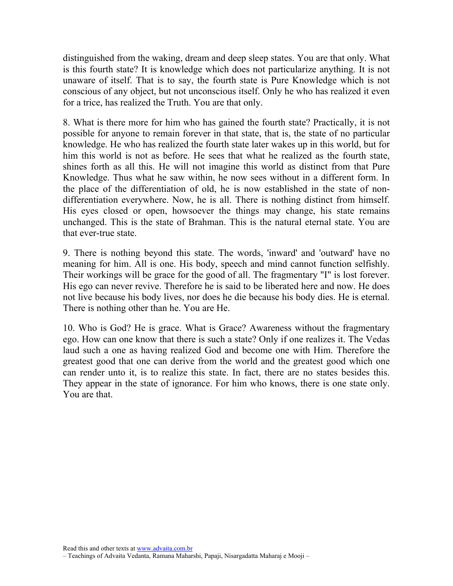distinguished from the waking, dream and deep sleep states. You are that only. What is this fourth state? It is knowledge which does not particularize anything. It is not unaware of itself. That is to say, the fourth state is Pure Knowledge which is not conscious of any object, but not unconscious itself. Only he who has realized it even for a trice, has realized the Truth. You are that only.

8. What is there more for him who has gained the fourth state? Practically, it is not possible for anyone to remain forever in that state, that is, the state of no particular knowledge. He who has realized the fourth state later wakes up in this world, but for him this world is not as before. He sees that what he realized as the fourth state, shines forth as all this. He will not imagine this world as distinct from that Pure Knowledge. Thus what he saw within, he now sees without in a different form. In the place of the differentiation of old, he is now established in the state of nondifferentiation everywhere. Now, he is all. There is nothing distinct from himself. His eyes closed or open, howsoever the things may change, his state remains unchanged. This is the state of Brahman. This is the natural eternal state. You are that ever-true state.

9. There is nothing beyond this state. The words, 'inward' and 'outward' have no meaning for him. All is one. His body, speech and mind cannot function selfishly. Their workings will be grace for the good of all. The fragmentary "I" is lost forever. His ego can never revive. Therefore he is said to be liberated here and now. He does not live because his body lives, nor does he die because his body dies. He is eternal. There is nothing other than he. You are He.

10. Who is God? He is grace. What is Grace? Awareness without the fragmentary ego. How can one know that there is such a state? Only if one realizes it. The Vedas laud such a one as having realized God and become one with Him. Therefore the greatest good that one can derive from the world and the greatest good which one can render unto it, is to realize this state. In fact, there are no states besides this. They appear in the state of ignorance. For him who knows, there is one state only. You are that.

<sup>–</sup> Teachings of Advaita Vedanta, Ramana Maharshi, Papaji, Nisargadatta Maharaj e Mooji –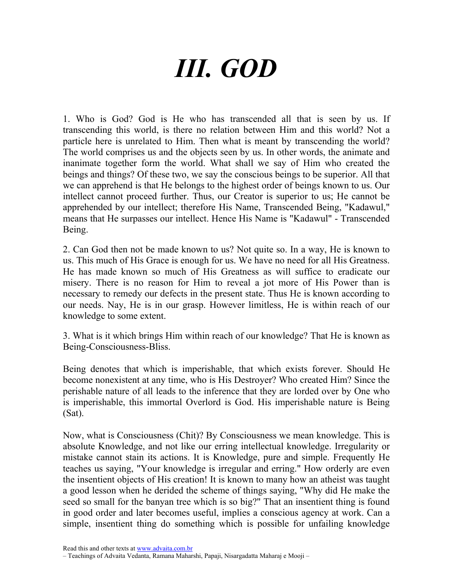# III. GOD

1. Who is God? God is He who has transcended all that is seen by us. If transcending this world, is there no relation between Him and this world? Not a particle here is unrelated to Him. Then what is meant by transcending the world? The world comprises us and the objects seen by us. In other words, the animate and inanimate together form the world. What shall we say of Him who created the beings and things? Of these two, we say the conscious beings to be superior. All that we can apprehend is that He belongs to the highest order of beings known to us. Our intellect cannot proceed further. Thus, our Creator is superior to us; He cannot be apprehended by our intellect; therefore His Name, Transcended Being, "Kadawul," means that He surpasses our intellect. Hence His Name is "Kadawul" - Transcended Being.

2. Can God then not be made known to us? Not quite so. In a way, He is known to us. This much of His Grace is enough for us. We have no need for all His Greatness. He has made known so much of His Greatness as will suffice to eradicate our misery. There is no reason for Him to reveal a jot more of His Power than is necessary to remedy our defects in the present state. Thus He is known according to our needs. Nay, He is in our grasp. However limitless, He is within reach of our knowledge to some extent.

3. What is it which brings Him within reach of our knowledge? That He is known as Being-Consciousness-Bliss.

Being denotes that which is imperishable, that which exists forever. Should He become nonexistent at any time, who is His Destroyer? Who created Him? Since the perishable nature of all leads to the inference that they are lorded over by One who is imperishable, this immortal Overlord is God. His imperishable nature is Being (Sat).

Now, what is Consciousness (Chit)? By Consciousness we mean knowledge. This is absolute Knowledge, and not like our erring intellectual knowledge. Irregularity or mistake cannot stain its actions. It is Knowledge, pure and simple. Frequently He teaches us saying, "Your knowledge is irregular and erring." How orderly are even the insentient objects of His creation! It is known to many how an atheist was taught a good lesson when he derided the scheme of things saying, "Why did He make the seed so small for the banyan tree which is so big?" That an insentient thing is found in good order and later becomes useful, implies a conscious agency at work. Can a simple, insentient thing do something which is possible for unfailing knowledge

<sup>–</sup> Teachings of Advaita Vedanta, Ramana Maharshi, Papaji, Nisargadatta Maharaj e Mooji –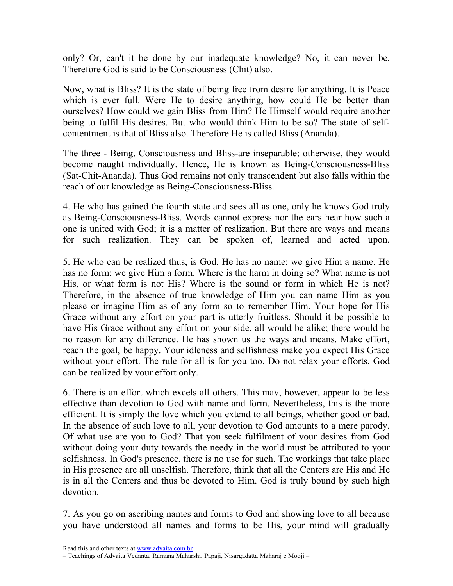only? Or, can't it be done by our inadequate knowledge? No, it can never be. Therefore God is said to be Consciousness (Chit) also.

Now, what is Bliss? It is the state of being free from desire for anything. It is Peace which is ever full. Were He to desire anything, how could He be better than ourselves? How could we gain Bliss from Him? He Himself would require another being to fulfil His desires. But who would think Him to be so? The state of selfcontentment is that of Bliss also. Therefore He is called Bliss (Ananda).

The three - Being, Consciousness and Bliss-are inseparable; otherwise, they would become naught individually. Hence, He is known as Being-Consciousness-Bliss (Sat-Chit-Ananda). Thus God remains not only transcendent but also falls within the reach of our knowledge as Being-Consciousness-Bliss.

4. He who has gained the fourth state and sees all as one, only he knows God truly as Being-Consciousness-Bliss. Words cannot express nor the ears hear how such a one is united with God; it is a matter of realization. But there are ways and means for such realization. They can be spoken of, learned and acted upon.

5. He who can be realized thus, is God. He has no name; we give Him a name. He has no form; we give Him a form. Where is the harm in doing so? What name is not His, or what form is not His? Where is the sound or form in which He is not? Therefore, in the absence of true knowledge of Him you can name Him as you please or imagine Him as of any form so to remember Him. Your hope for His Grace without any effort on your part is utterly fruitless. Should it be possible to have His Grace without any effort on your side, all would be alike; there would be no reason for any difference. He has shown us the ways and means. Make effort, reach the goal, be happy. Your idleness and selfishness make you expect His Grace without your effort. The rule for all is for you too. Do not relax your efforts. God can be realized by your effort only.

6. There is an effort which excels all others. This may, however, appear to be less effective than devotion to God with name and form. Nevertheless, this is the more efficient. It is simply the love which you extend to all beings, whether good or bad. In the absence of such love to all, your devotion to God amounts to a mere parody. Of what use are you to God? That you seek fulfilment of your desires from God without doing your duty towards the needy in the world must be attributed to your selfishness. In God's presence, there is no use for such. The workings that take place in His presence are all unselfish. Therefore, think that all the Centers are His and He is in all the Centers and thus be devoted to Him. God is truly bound by such high devotion.

7. As you go on ascribing names and forms to God and showing love to all because you have understood all names and forms to be His, your mind will gradually

<sup>–</sup> Teachings of Advaita Vedanta, Ramana Maharshi, Papaji, Nisargadatta Maharaj e Mooji –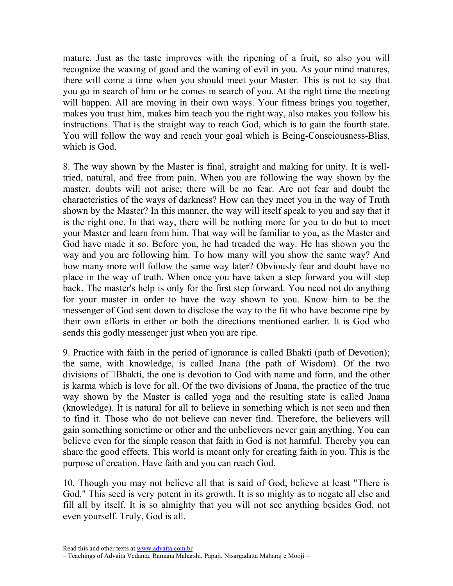mature. Just as the taste improves with the ripening of a fruit, so also you will recognize the waxing of good and the waning of evil in you. As your mind matures, there will come a time when you should meet your Master. This is not to say that you go in search of him or he comes in search of you. At the right time the meeting will happen. All are moving in their own ways. Your fitness brings you together, makes you trust him, makes him teach you the right way, also makes you follow his instructions. That is the straight way to reach God, which is to gain the fourth state. You will follow the way and reach your goal which is Being-Consciousness-Bliss, which is God.

8. The way shown by the Master is final, straight and making for unity. It is welltried, natural, and free from pain. When you are following the way shown by the master, doubts will not arise; there will be no fear. Are not fear and doubt the characteristics of the ways of darkness? How can they meet you in the way of Truth shown by the Master? In this manner, the way will itself speak to you and say that it is the right one. In that way, there will be nothing more for you to do but to meet your Master and learn from him. That way will be familiar to you, as the Master and God have made it so. Before you, he had treaded the way. He has shown you the way and you are following him. To how many will you show the same way? And how many more will follow the same way later? Obviously fear and doubt have no place in the way of truth. When once you have taken a step forward you will step back. The master's help is only for the first step forward. You need not do anything for your master in order to have the way shown to you. Know him to be the messenger of God sent down to disclose the way to the fit who have become ripe by their own efforts in either or both the directions mentioned earlier. It is God who sends this godly messenger just when you are ripe.

9. Practice with faith in the period of ignorance is called Bhakti (path of Devotion); the same, with knowledge, is called Jnana (the path of Wisdom). Of the two divisions ofJBhakti, the one is devotion to God with name and form, and the other is karma which is love for all. Of the two divisions of Jnana, the practice of the true way shown by the Master is called yoga and the resulting state is called Jnana (knowledge). It is natural for all to believe in something which is not seen and then to find it. Those who do not believe can never find. Therefore, the believers will gain something sometime or other and the unbelievers never gain anything. You can believe even for the simple reason that faith in God is not harmful. Thereby you can share the good effects. This world is meant only for creating faith in you. This is the purpose of creation. Have faith and you can reach God.

10. Though you may not believe all that is said of God, believe at least "There is God." This seed is very potent in its growth. It is so mighty as to negate all else and fill all by itself. It is so almighty that you will not see anything besides God, not even yourself. Truly, God is all.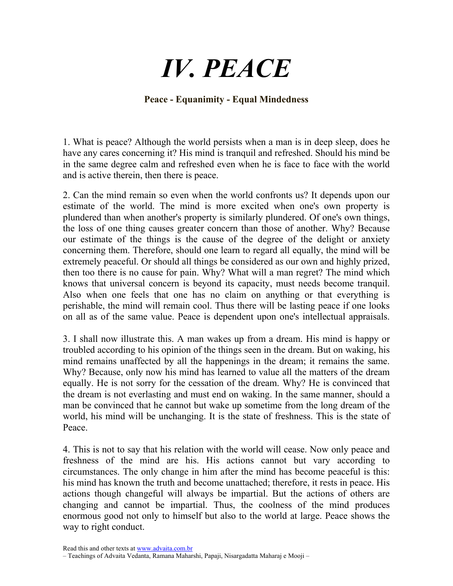## IV. PEACE

#### Peace - Equanimity - Equal Mindedness

1. What is peace? Although the world persists when a man is in deep sleep, does he have any cares concerning it? His mind is tranquil and refreshed. Should his mind be in the same degree calm and refreshed even when he is face to face with the world and is active therein, then there is peace.

2. Can the mind remain so even when the world confronts us? It depends upon our estimate of the world. The mind is more excited when one's own property is plundered than when another's property is similarly plundered. Of one's own things, the loss of one thing causes greater concern than those of another. Why? Because our estimate of the things is the cause of the degree of the delight or anxiety concerning them. Therefore, should one learn to regard all equally, the mind will be extremely peaceful. Or should all things be considered as our own and highly prized, then too there is no cause for pain. Why? What will a man regret? The mind which knows that universal concern is beyond its capacity, must needs become tranquil. Also when one feels that one has no claim on anything or that everything is perishable, the mind will remain cool. Thus there will be lasting peace if one looks on all as of the same value. Peace is dependent upon one's intellectual appraisals.

3. I shall now illustrate this. A man wakes up from a dream. His mind is happy or troubled according to his opinion of the things seen in the dream. But on waking, his mind remains unaffected by all the happenings in the dream; it remains the same. Why? Because, only now his mind has learned to value all the matters of the dream equally. He is not sorry for the cessation of the dream. Why? He is convinced that the dream is not everlasting and must end on waking. In the same manner, should a man be convinced that he cannot but wake up sometime from the long dream of the world, his mind will be unchanging. It is the state of freshness. This is the state of Peace.

4. This is not to say that his relation with the world will cease. Now only peace and freshness of the mind are his. His actions cannot but vary according to circumstances. The only change in him after the mind has become peaceful is this: his mind has known the truth and become unattached; therefore, it rests in peace. His actions though changeful will always be impartial. But the actions of others are changing and cannot be impartial. Thus, the coolness of the mind produces enormous good not only to himself but also to the world at large. Peace shows the way to right conduct.

<sup>–</sup> Teachings of Advaita Vedanta, Ramana Maharshi, Papaji, Nisargadatta Maharaj e Mooji –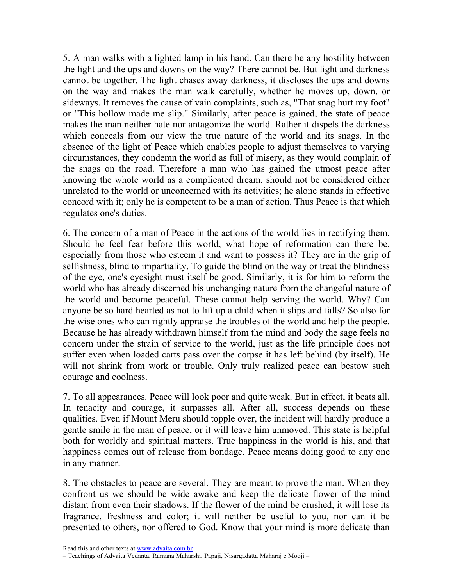5. A man walks with a lighted lamp in his hand. Can there be any hostility between the light and the ups and downs on the way? There cannot be. But light and darkness cannot be together. The light chases away darkness, it discloses the ups and downs on the way and makes the man walk carefully, whether he moves up, down, or sideways. It removes the cause of vain complaints, such as, "That snag hurt my foot" or "This hollow made me slip." Similarly, after peace is gained, the state of peace makes the man neither hate nor antagonize the world. Rather it dispels the darkness which conceals from our view the true nature of the world and its snags. In the absence of the light of Peace which enables people to adjust themselves to varying circumstances, they condemn the world as full of misery, as they would complain of the snags on the road. Therefore a man who has gained the utmost peace after knowing the whole world as a complicated dream, should not be considered either unrelated to the world or unconcerned with its activities; he alone stands in effective concord with it; only he is competent to be a man of action. Thus Peace is that which regulates one's duties.

6. The concern of a man of Peace in the actions of the world lies in rectifying them. Should he feel fear before this world, what hope of reformation can there be, especially from those who esteem it and want to possess it? They are in the grip of selfishness, blind to impartiality. To guide the blind on the way or treat the blindness of the eye, one's eyesight must itself be good. Similarly, it is for him to reform the world who has already discerned his unchanging nature from the changeful nature of the world and become peaceful. These cannot help serving the world. Why? Can anyone be so hard hearted as not to lift up a child when it slips and falls? So also for the wise ones who can rightly appraise the troubles of the world and help the people. Because he has already withdrawn himself from the mind and body the sage feels no concern under the strain of service to the world, just as the life principle does not suffer even when loaded carts pass over the corpse it has left behind (by itself). He will not shrink from work or trouble. Only truly realized peace can bestow such courage and coolness.

7. To all appearances. Peace will look poor and quite weak. But in effect, it beats all. In tenacity and courage, it surpasses all. After all, success depends on these qualities. Even if Mount Meru should topple over, the incident will hardly produce a gentle smile in the man of peace, or it will leave him unmoved. This state is helpful both for worldly and spiritual matters. True happiness in the world is his, and that happiness comes out of release from bondage. Peace means doing good to any one in any manner.

8. The obstacles to peace are several. They are meant to prove the man. When they confront us we should be wide awake and keep the delicate flower of the mind distant from even their shadows. If the flower of the mind be crushed, it will lose its fragrance, freshness and color; it will neither be useful to you, nor can it be presented to others, nor offered to God. Know that your mind is more delicate than

<sup>–</sup> Teachings of Advaita Vedanta, Ramana Maharshi, Papaji, Nisargadatta Maharaj e Mooji –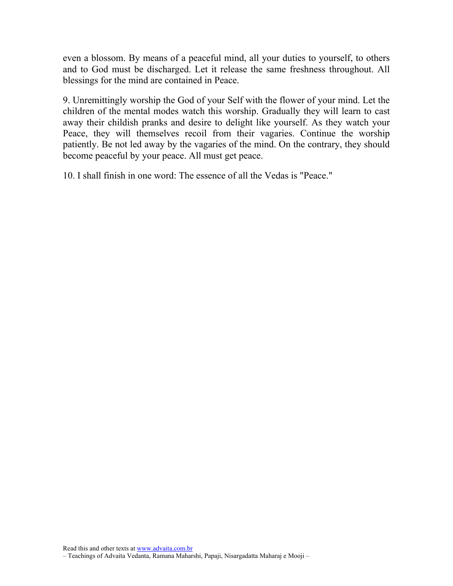even a blossom. By means of a peaceful mind, all your duties to yourself, to others and to God must be discharged. Let it release the same freshness throughout. All blessings for the mind are contained in Peace.

9. Unremittingly worship the God of your Self with the flower of your mind. Let the children of the mental modes watch this worship. Gradually they will learn to cast away their childish pranks and desire to delight like yourself. As they watch your Peace, they will themselves recoil from their vagaries. Continue the worship patiently. Be not led away by the vagaries of the mind. On the contrary, they should become peaceful by your peace. All must get peace.

10. I shall finish in one word: The essence of all the Vedas is "Peace."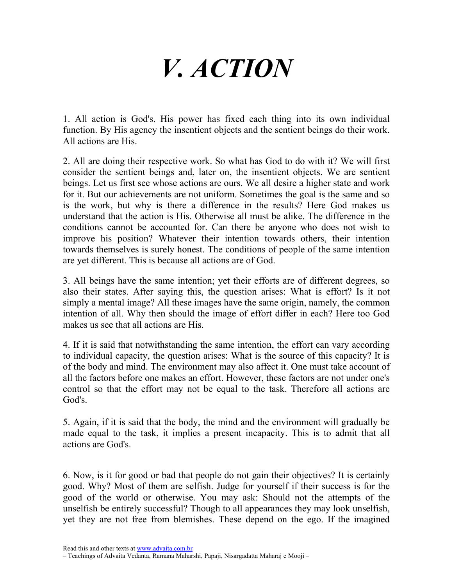## V. ACTION

1. All action is God's. His power has fixed each thing into its own individual function. By His agency the insentient objects and the sentient beings do their work. All actions are His.

2. All are doing their respective work. So what has God to do with it? We will first consider the sentient beings and, later on, the insentient objects. We are sentient beings. Let us first see whose actions are ours. We all desire a higher state and work for it. But our achievements are not uniform. Sometimes the goal is the same and so is the work, but why is there a difference in the results? Here God makes us understand that the action is His. Otherwise all must be alike. The difference in the conditions cannot be accounted for. Can there be anyone who does not wish to improve his position? Whatever their intention towards others, their intention towards themselves is surely honest. The conditions of people of the same intention are yet different. This is because all actions are of God.

3. All beings have the same intention; yet their efforts are of different degrees, so also their states. After saying this, the question arises: What is effort? Is it not simply a mental image? All these images have the same origin, namely, the common intention of all. Why then should the image of effort differ in each? Here too God makes us see that all actions are His.

4. If it is said that notwithstanding the same intention, the effort can vary according to individual capacity, the question arises: What is the source of this capacity? It is of the body and mind. The environment may also affect it. One must take account of all the factors before one makes an effort. However, these factors are not under one's control so that the effort may not be equal to the task. Therefore all actions are God's.

5. Again, if it is said that the body, the mind and the environment will gradually be made equal to the task, it implies a present incapacity. This is to admit that all actions are God's.

6. Now, is it for good or bad that people do not gain their objectives? It is certainly good. Why? Most of them are selfish. Judge for yourself if their success is for the good of the world or otherwise. You may ask: Should not the attempts of the unselfish be entirely successful? Though to all appearances they may look unselfish, yet they are not free from blemishes. These depend on the ego. If the imagined

<sup>–</sup> Teachings of Advaita Vedanta, Ramana Maharshi, Papaji, Nisargadatta Maharaj e Mooji –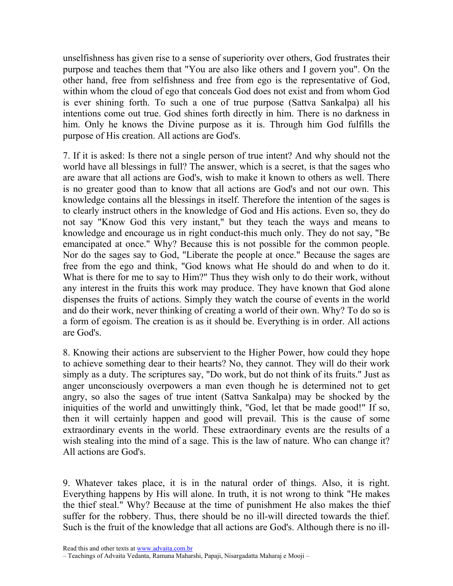unselfishness has given rise to a sense of superiority over others, God frustrates their purpose and teaches them that "You are also like others and I govern you". On the other hand, free from selfishness and free from ego is the representative of God, within whom the cloud of ego that conceals God does not exist and from whom God is ever shining forth. To such a one of true purpose (Sattva Sankalpa) all his intentions come out true. God shines forth directly in him. There is no darkness in him. Only he knows the Divine purpose as it is. Through him God fulfills the purpose of His creation. All actions are God's.

7. If it is asked: Is there not a single person of true intent? And why should not the world have all blessings in full? The answer, which is a secret, is that the sages who are aware that all actions are God's, wish to make it known to others as well. There is no greater good than to know that all actions are God's and not our own. This knowledge contains all the blessings in itself. Therefore the intention of the sages is to clearly instruct others in the knowledge of God and His actions. Even so, they do not say "Know God this very instant," but they teach the ways and means to knowledge and encourage us in right conduct-this much only. They do not say, "Be emancipated at once." Why? Because this is not possible for the common people. Nor do the sages say to God, "Liberate the people at once." Because the sages are free from the ego and think, "God knows what He should do and when to do it. What is there for me to say to Him?" Thus they wish only to do their work, without any interest in the fruits this work may produce. They have known that God alone dispenses the fruits of actions. Simply they watch the course of events in the world and do their work, never thinking of creating a world of their own. Why? To do so is a form of egoism. The creation is as it should be. Everything is in order. All actions are God's.

8. Knowing their actions are subservient to the Higher Power, how could they hope to achieve something dear to their hearts? No, they cannot. They will do their work simply as a duty. The scriptures say, "Do work, but do not think of its fruits." Just as anger unconsciously overpowers a man even though he is determined not to get angry, so also the sages of true intent (Sattva Sankalpa) may be shocked by the iniquities of the world and unwittingly think, "God, let that be made good!" If so, then it will certainly happen and good will prevail. This is the cause of some extraordinary events in the world. These extraordinary events are the results of a wish stealing into the mind of a sage. This is the law of nature. Who can change it? All actions are God's.

9. Whatever takes place, it is in the natural order of things. Also, it is right. Everything happens by His will alone. In truth, it is not wrong to think "He makes the thief steal." Why? Because at the time of punishment He also makes the thief suffer for the robbery. Thus, there should be no ill-will directed towards the thief. Such is the fruit of the knowledge that all actions are God's. Although there is no ill-

<sup>–</sup> Teachings of Advaita Vedanta, Ramana Maharshi, Papaji, Nisargadatta Maharaj e Mooji –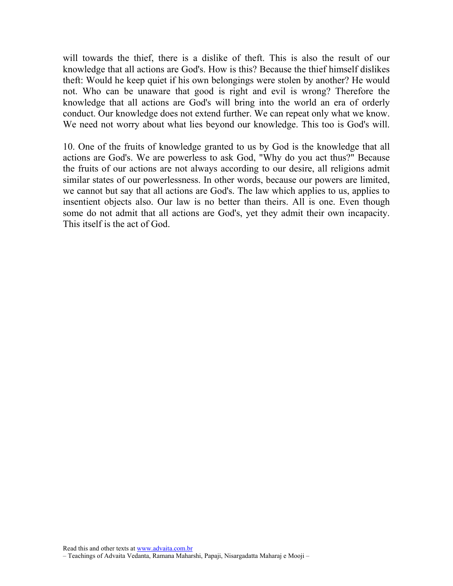will towards the thief, there is a dislike of theft. This is also the result of our knowledge that all actions are God's. How is this? Because the thief himself dislikes theft: Would he keep quiet if his own belongings were stolen by another? He would not. Who can be unaware that good is right and evil is wrong? Therefore the knowledge that all actions are God's will bring into the world an era of orderly conduct. Our knowledge does not extend further. We can repeat only what we know. We need not worry about what lies beyond our knowledge. This too is God's will.

10. One of the fruits of knowledge granted to us by God is the knowledge that all actions are God's. We are powerless to ask God, "Why do you act thus?" Because the fruits of our actions are not always according to our desire, all religions admit similar states of our powerlessness. In other words, because our powers are limited, we cannot but say that all actions are God's. The law which applies to us, applies to insentient objects also. Our law is no better than theirs. All is one. Even though some do not admit that all actions are God's, yet they admit their own incapacity. This itself is the act of God.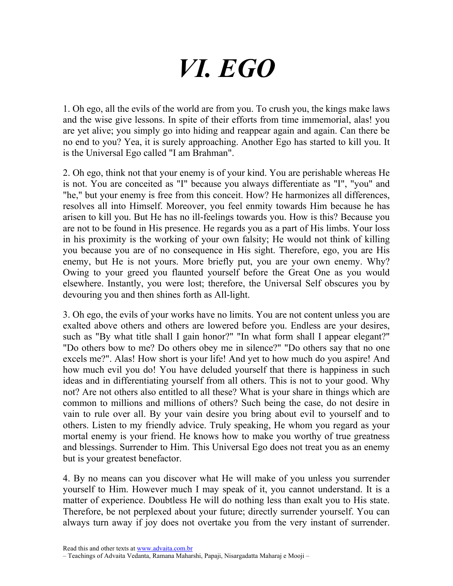# VI. EGO

1. Oh ego, all the evils of the world are from you. To crush you, the kings make laws and the wise give lessons. In spite of their efforts from time immemorial, alas! you are yet alive; you simply go into hiding and reappear again and again. Can there be no end to you? Yea, it is surely approaching. Another Ego has started to kill you. It is the Universal Ego called "I am Brahman".

2. Oh ego, think not that your enemy is of your kind. You are perishable whereas He is not. You are conceited as "I" because you always differentiate as "I", "you" and "he," but your enemy is free from this conceit. How? He harmonizes all differences, resolves all into Himself. Moreover, you feel enmity towards Him because he has arisen to kill you. But He has no ill-feelings towards you. How is this? Because you are not to be found in His presence. He regards you as a part of His limbs. Your loss in his proximity is the working of your own falsity; He would not think of killing you because you are of no consequence in His sight. Therefore, ego, you are His enemy, but He is not yours. More briefly put, you are your own enemy. Why? Owing to your greed you flaunted yourself before the Great One as you would elsewhere. Instantly, you were lost; therefore, the Universal Self obscures you by devouring you and then shines forth as All-light.

3. Oh ego, the evils of your works have no limits. You are not content unless you are exalted above others and others are lowered before you. Endless are your desires, such as "By what title shall I gain honor?" "In what form shall I appear elegant?" "Do others bow to me? Do others obey me in silence?" "Do others say that no one excels me?". Alas! How short is your life! And yet to how much do you aspire! And how much evil you do! You have deluded yourself that there is happiness in such ideas and in differentiating yourself from all others. This is not to your good. Why not? Are not others also entitled to all these? What is your share in things which are common to millions and millions of others? Such being the case, do not desire in vain to rule over all. By your vain desire you bring about evil to yourself and to others. Listen to my friendly advice. Truly speaking, He whom you regard as your mortal enemy is your friend. He knows how to make you worthy of true greatness and blessings. Surrender to Him. This Universal Ego does not treat you as an enemy but is your greatest benefactor.

4. By no means can you discover what He will make of you unless you surrender yourself to Him. However much I may speak of it, you cannot understand. It is a matter of experience. Doubtless He will do nothing less than exalt you to His state. Therefore, be not perplexed about your future; directly surrender yourself. You can always turn away if joy does not overtake you from the very instant of surrender.

<sup>–</sup> Teachings of Advaita Vedanta, Ramana Maharshi, Papaji, Nisargadatta Maharaj e Mooji –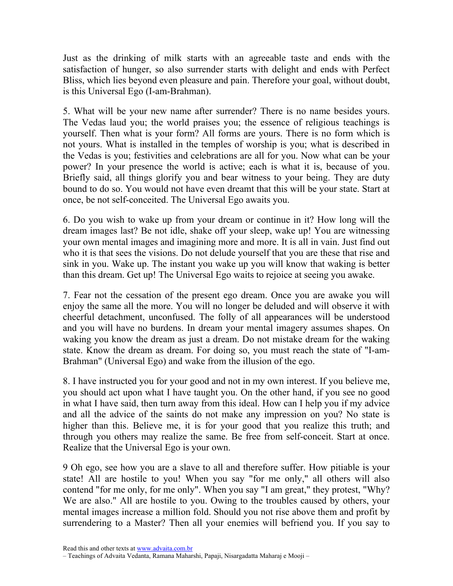Just as the drinking of milk starts with an agreeable taste and ends with the satisfaction of hunger, so also surrender starts with delight and ends with Perfect Bliss, which lies beyond even pleasure and pain. Therefore your goal, without doubt, is this Universal Ego (I-am-Brahman).

5. What will be your new name after surrender? There is no name besides yours. The Vedas laud you; the world praises you; the essence of religious teachings is yourself. Then what is your form? All forms are yours. There is no form which is not yours. What is installed in the temples of worship is you; what is described in the Vedas is you; festivities and celebrations are all for you. Now what can be your power? In your presence the world is active; each is what it is, because of you. Briefly said, all things glorify you and bear witness to your being. They are duty bound to do so. You would not have even dreamt that this will be your state. Start at once, be not self-conceited. The Universal Ego awaits you.

6. Do you wish to wake up from your dream or continue in it? How long will the dream images last? Be not idle, shake off your sleep, wake up! You are witnessing your own mental images and imagining more and more. It is all in vain. Just find out who it is that sees the visions. Do not delude yourself that you are these that rise and sink in you. Wake up. The instant you wake up you will know that waking is better than this dream. Get up! The Universal Ego waits to rejoice at seeing you awake.

7. Fear not the cessation of the present ego dream. Once you are awake you will enjoy the same all the more. You will no longer be deluded and will observe it with cheerful detachment, unconfused. The folly of all appearances will be understood and you will have no burdens. In dream your mental imagery assumes shapes. On waking you know the dream as just a dream. Do not mistake dream for the waking state. Know the dream as dream. For doing so, you must reach the state of "I-am-Brahman" (Universal Ego) and wake from the illusion of the ego.

8. I have instructed you for your good and not in my own interest. If you believe me, you should act upon what I have taught you. On the other hand, if you see no good in what I have said, then turn away from this ideal. How can I help you if my advice and all the advice of the saints do not make any impression on you? No state is higher than this. Believe me, it is for your good that you realize this truth; and through you others may realize the same. Be free from self-conceit. Start at once. Realize that the Universal Ego is your own.

9 Oh ego, see how you are a slave to all and therefore suffer. How pitiable is your state! All are hostile to you! When you say "for me only," all others will also contend "for me only, for me only". When you say "I am great," they protest, "Why? We are also." All are hostile to you. Owing to the troubles caused by others, your mental images increase a million fold. Should you not rise above them and profit by surrendering to a Master? Then all your enemies will befriend you. If you say to

<sup>–</sup> Teachings of Advaita Vedanta, Ramana Maharshi, Papaji, Nisargadatta Maharaj e Mooji –